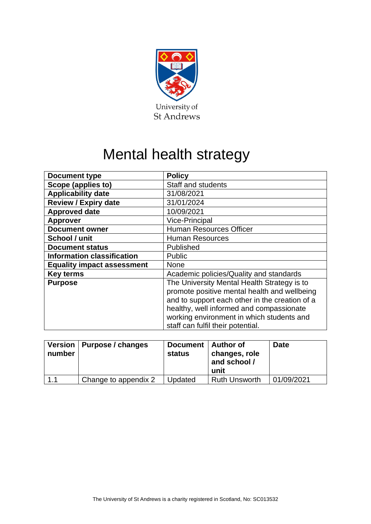

# Mental health strategy

| <b>Document type</b>              | <b>Policy</b>                                                                               |  |  |
|-----------------------------------|---------------------------------------------------------------------------------------------|--|--|
| Scope (applies to)                | Staff and students                                                                          |  |  |
| <b>Applicability date</b>         | 31/08/2021                                                                                  |  |  |
| <b>Review / Expiry date</b>       | 31/01/2024                                                                                  |  |  |
| <b>Approved date</b>              | 10/09/2021                                                                                  |  |  |
| <b>Approver</b>                   | <b>Vice-Principal</b>                                                                       |  |  |
| <b>Document owner</b>             | <b>Human Resources Officer</b>                                                              |  |  |
| School / unit                     | <b>Human Resources</b>                                                                      |  |  |
| <b>Document status</b>            | Published                                                                                   |  |  |
| <b>Information classification</b> | <b>Public</b>                                                                               |  |  |
| <b>Equality impact assessment</b> | <b>None</b>                                                                                 |  |  |
| <b>Key terms</b>                  | Academic policies/Quality and standards                                                     |  |  |
| <b>Purpose</b>                    | The University Mental Health Strategy is to<br>promote positive mental health and wellbeing |  |  |
|                                   | and to support each other in the creation of a                                              |  |  |
|                                   | healthy, well informed and compassionate                                                    |  |  |
|                                   | working environment in which students and                                                   |  |  |
|                                   | staff can fulfil their potential.                                                           |  |  |

| number | Version   Purpose / changes | Document   Author of<br>status | changes, role<br>and school /<br>unit | <b>Date</b> |
|--------|-----------------------------|--------------------------------|---------------------------------------|-------------|
| 1.1    | Change to appendix 2        | Updated                        | <b>Ruth Unsworth</b>                  | 01/09/2021  |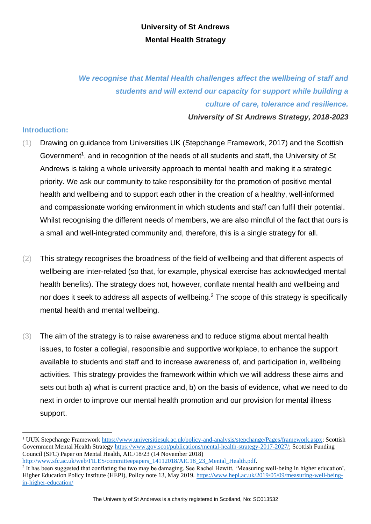# **University of St Andrews Mental Health Strategy**

*We recognise that Mental Health challenges affect the wellbeing of staff and students and will extend our capacity for support while building a culture of care, tolerance and resilience. University of St Andrews Strategy, 2018-2023* 

**Introduction:**

- (1) Drawing on guidance from Universities UK (Stepchange Framework, 2017) and the Scottish Government<sup>1</sup>, and in recognition of the needs of all students and staff, the University of St Andrews is taking a whole university approach to mental health and making it a strategic priority. We ask our community to take responsibility for the promotion of positive mental health and wellbeing and to support each other in the creation of a healthy, well-informed and compassionate working environment in which students and staff can fulfil their potential. Whilst recognising the different needs of members, we are also mindful of the fact that ours is a small and well-integrated community and, therefore, this is a single strategy for all.
- (2) This strategy recognises the broadness of the field of wellbeing and that different aspects of wellbeing are inter-related (so that, for example, physical exercise has acknowledged mental health benefits). The strategy does not, however, conflate mental health and wellbeing and nor does it seek to address all aspects of wellbeing.<sup>2</sup> The scope of this strategy is specifically mental health and mental wellbeing.
- (3) The aim of the strategy is to raise awareness and to reduce stigma about mental health issues, to foster a collegial, responsible and supportive workplace, to enhance the support available to students and staff and to increase awareness of, and participation in, wellbeing activities. This strategy provides the framework within which we will address these aims and sets out both a) what is current practice and, b) on the basis of evidence, what we need to do next in order to improve our mental health promotion and our provision for mental illness support.

<sup>1</sup> UUK Stepchange Framework [https://www.universitiesuk.ac.uk/policy-and-analysis/stepchange/Pages/framework.aspx;](https://www.universitiesuk.ac.uk/policy-and-analysis/stepchange/Pages/framework.aspx) Scottish Government Mental Health Strategy [https://www.gov.scot/publications/mental-health-strategy-2017-2027/;](https://www.gov.scot/publications/mental-health-strategy-2017-2027/) Scottish Funding Council (SFC) Paper on Mental Health, AIC/18/23 (14 November 2018)

[http://www.sfc.ac.uk/web/FILES/committeepapers\\_14112018/AIC18\\_23\\_Mental\\_Health.pdf.](http://www.sfc.ac.uk/web/FILES/committeepapers_14112018/AIC18_23_Mental_Health.pdf)<br><sup>2</sup> It has been suggested that conflating the two may be damaging. See Rachel Hewitt, 'Measuring well-being in higher education', Higher Education Policy Institute (HEPI), Policy note 13, May 2019. [https://www.hepi.ac.uk/2019/05/09/measuring-well-being](https://www.hepi.ac.uk/2019/05/09/measuring-well-being-in-higher-education/)[in-higher-education/](https://www.hepi.ac.uk/2019/05/09/measuring-well-being-in-higher-education/)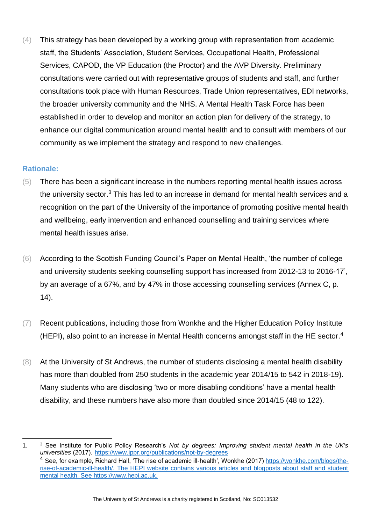(4) This strategy has been developed by a working group with representation from academic staff, the Students' Association, Student Services, Occupational Health, Professional Services, CAPOD, the VP Education (the Proctor) and the AVP Diversity. Preliminary consultations were carried out with representative groups of students and staff, and further consultations took place with Human Resources, Trade Union representatives, EDI networks, the broader university community and the NHS. A Mental Health Task Force has been established in order to develop and monitor an action plan for delivery of the strategy, to enhance our digital communication around mental health and to consult with members of our community as we implement the strategy and respond to new challenges.

#### **Rationale:**

- (5) There has been a significant increase in the numbers reporting mental health issues across the university sector.<sup>3</sup> This has led to an increase in demand for mental health services and a recognition on the part of the University of the importance of promoting positive mental health and wellbeing, early intervention and enhanced counselling and training services where mental health issues arise.
- (6) According to the Scottish Funding Council's Paper on Mental Health, 'the number of college and university students seeking counselling support has increased from 2012-13 to 2016-17', by an average of a 67%, and by 47% in those accessing counselling services (Annex C, p. 14).
- (7) Recent publications, including those from Wonkhe and the Higher Education Policy Institute (HEPI), also point to an increase in Mental Health concerns amongst staff in the HE sector.<sup>4</sup>
- (8) At the University of St Andrews, the number of students disclosing a mental health disability has more than doubled from 250 students in the academic year 2014/15 to 542 in 2018-19). Many students who are disclosing 'two or more disabling conditions' have a mental health disability, and these numbers have also more than doubled since 2014/15 (48 to 122).

<sup>1.</sup> <sup>3</sup> See Institute for Public Policy Research's *Not by degrees: Improving student mental health in the UK's universities* (2017). <https://www.ippr.org/publications/not-by-degrees> <sup>4</sup> See, for example, Richard Hall, 'The rise of academic ill-health', Wonkhe (2017) [https://wonkhe.com/blogs/the](https://wonkhe.com/blogs/the-rise-of-academic-ill-health/)[rise-of-academic-ill-health/.](https://wonkhe.com/blogs/the-rise-of-academic-ill-health/) The HEPI website contains various articles and blogposts about staff and student mental health. See [https://www.hepi.ac.uk.](https://www.hepi.ac.uk/)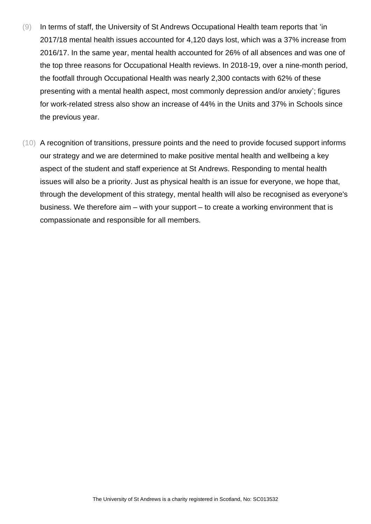- (9) In terms of staff, the University of St Andrews Occupational Health team reports that 'in 2017/18 mental health issues accounted for 4,120 days lost, which was a 37% increase from 2016/17. In the same year, mental health accounted for 26% of all absences and was one of the top three reasons for Occupational Health reviews. In 2018-19, over a nine-month period, the footfall through Occupational Health was nearly 2,300 contacts with 62% of these presenting with a mental health aspect, most commonly depression and/or anxiety'; figures for work-related stress also show an increase of 44% in the Units and 37% in Schools since the previous year.
- (10) A recognition of transitions, pressure points and the need to provide focused support informs our strategy and we are determined to make positive mental health and wellbeing a key aspect of the student and staff experience at St Andrews. Responding to mental health issues will also be a priority. Just as physical health is an issue for everyone, we hope that, through the development of this strategy, mental health will also be recognised as everyone's business. We therefore aim – with your support – to create a working environment that is compassionate and responsible for all members.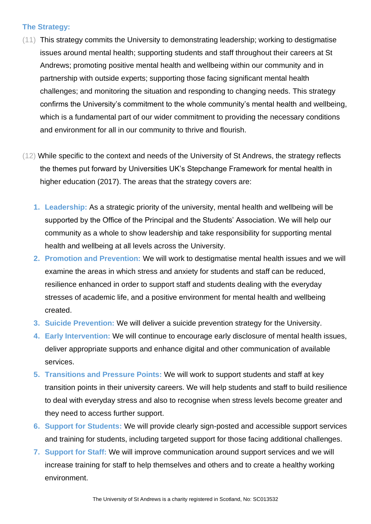#### **The Strategy:**

- (11) This strategy commits the University to demonstrating leadership; working to destigmatise issues around mental health; supporting students and staff throughout their careers at St Andrews; promoting positive mental health and wellbeing within our community and in partnership with outside experts; supporting those facing significant mental health challenges; and monitoring the situation and responding to changing needs. This strategy confirms the University's commitment to the whole community's mental health and wellbeing, which is a fundamental part of our wider commitment to providing the necessary conditions and environment for all in our community to thrive and flourish.
- (12) While specific to the context and needs of the University of St Andrews, the strategy reflects the themes put forward by Universities UK's Stepchange Framework for mental health in higher education (2017). The areas that the strategy covers are:
	- **1. Leadership:** As a strategic priority of the university, mental health and wellbeing will be supported by the Office of the Principal and the Students' Association. We will help our community as a whole to show leadership and take responsibility for supporting mental health and wellbeing at all levels across the University.
	- **2. Promotion and Prevention:** We will work to destigmatise mental health issues and we will examine the areas in which stress and anxiety for students and staff can be reduced, resilience enhanced in order to support staff and students dealing with the everyday stresses of academic life, and a positive environment for mental health and wellbeing created.
	- **3. Suicide Prevention:** We will deliver a suicide prevention strategy for the University.
	- **4. Early Intervention:** We will continue to encourage early disclosure of mental health issues, deliver appropriate supports and enhance digital and other communication of available services.
	- **5. Transitions and Pressure Points:** We will work to support students and staff at key transition points in their university careers. We will help students and staff to build resilience to deal with everyday stress and also to recognise when stress levels become greater and they need to access further support.
	- **6. Support for Students:** We will provide clearly sign-posted and accessible support services and training for students, including targeted support for those facing additional challenges.
	- **7. Support for Staff:** We will improve communication around support services and we will increase training for staff to help themselves and others and to create a healthy working environment.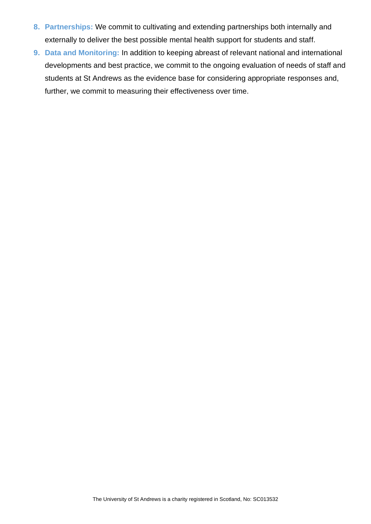- **8. Partnerships:** We commit to cultivating and extending partnerships both internally and externally to deliver the best possible mental health support for students and staff.
- **9. Data and Monitoring:** In addition to keeping abreast of relevant national and international developments and best practice, we commit to the ongoing evaluation of needs of staff and students at St Andrews as the evidence base for considering appropriate responses and, further, we commit to measuring their effectiveness over time.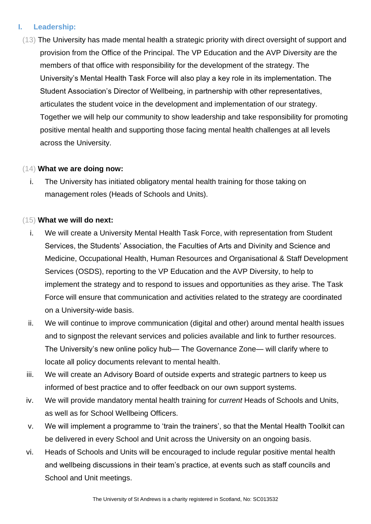# **I. Leadership:**

(13) The University has made mental health a strategic priority with direct oversight of support and provision from the Office of the Principal. The VP Education and the AVP Diversity are the members of that office with responsibility for the development of the strategy. The University's Mental Health Task Force will also play a key role in its implementation. The Student Association's Director of Wellbeing, in partnership with other representatives, articulates the student voice in the development and implementation of our strategy. Together we will help our community to show leadership and take responsibility for promoting positive mental health and supporting those facing mental health challenges at all levels across the University.

#### (14) **What we are doing now:**

i. The University has initiated obligatory mental health training for those taking on management roles (Heads of Schools and Units).

# (15) **What we will do next:**

- i. We will create a University Mental Health Task Force, with representation from Student Services, the Students' Association, the Faculties of Arts and Divinity and Science and Medicine, Occupational Health, Human Resources and Organisational & Staff Development Services (OSDS), reporting to the VP Education and the AVP Diversity, to help to implement the strategy and to respond to issues and opportunities as they arise. The Task Force will ensure that communication and activities related to the strategy are coordinated on a University-wide basis.
- ii. We will continue to improve communication (digital and other) around mental health issues and to signpost the relevant services and policies available and link to further resources. The University's new online policy hub— The Governance Zone— will clarify where to locate all policy documents relevant to mental health.
- iii. We will create an Advisory Board of outside experts and strategic partners to keep us informed of best practice and to offer feedback on our own support systems.
- iv. We will provide mandatory mental health training for *current* Heads of Schools and Units, as well as for School Wellbeing Officers.
- v. We will implement a programme to 'train the trainers', so that the Mental Health Toolkit can be delivered in every School and Unit across the University on an ongoing basis.
- vi. Heads of Schools and Units will be encouraged to include regular positive mental health and wellbeing discussions in their team's practice, at events such as staff councils and School and Unit meetings.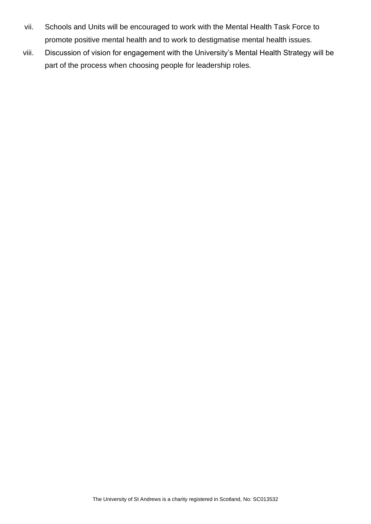- vii. Schools and Units will be encouraged to work with the Mental Health Task Force to promote positive mental health and to work to destigmatise mental health issues.
- viii. Discussion of vision for engagement with the University's Mental Health Strategy will be part of the process when choosing people for leadership roles.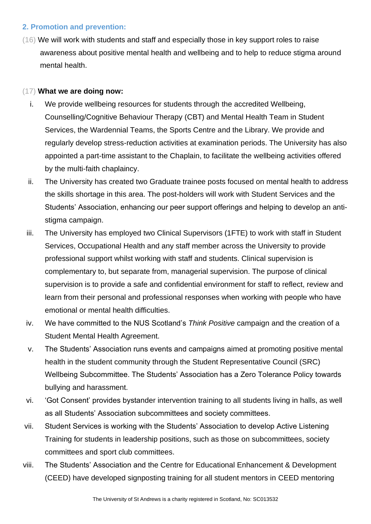# **2. Promotion and prevention:**

(16) We will work with students and staff and especially those in key support roles to raise awareness about positive mental health and wellbeing and to help to reduce stigma around mental health.

# (17) **What we are doing now:**

- i. We provide wellbeing resources for students through the accredited Wellbeing, Counselling/Cognitive Behaviour Therapy (CBT) and Mental Health Team in Student Services, the Wardennial Teams, the Sports Centre and the Library. We provide and regularly develop stress-reduction activities at examination periods. The University has also appointed a part-time assistant to the Chaplain, to facilitate the wellbeing activities offered by the multi-faith chaplaincy.
- ii. The University has created two Graduate trainee posts focused on mental health to address the skills shortage in this area. The post-holders will work with Student Services and the Students' Association, enhancing our peer support offerings and helping to develop an antistigma campaign.
- iii. The University has employed two Clinical Supervisors (1FTE) to work with staff in Student Services, Occupational Health and any staff member across the University to provide professional support whilst working with staff and students. Clinical supervision is complementary to, but separate from, managerial supervision. The purpose of clinical supervision is to provide a safe and confidential environment for staff to reflect, review and learn from their personal and professional responses when working with people who have emotional or mental health difficulties.
- iv. We have committed to the NUS Scotland's *Think Positive* campaign and the creation of a Student Mental Health Agreement.
- v. The Students' Association runs events and campaigns aimed at promoting positive mental health in the student community through the Student Representative Council (SRC) Wellbeing Subcommittee. The Students' Association has a Zero Tolerance Policy towards bullying and harassment.
- vi. 'Got Consent' provides bystander intervention training to all students living in halls, as well as all Students' Association subcommittees and society committees.
- vii. Student Services is working with the Students' Association to develop Active Listening Training for students in leadership positions, such as those on subcommittees, society committees and sport club committees.
- viii. The Students' Association and the Centre for Educational Enhancement & Development (CEED) have developed signposting training for all student mentors in CEED mentoring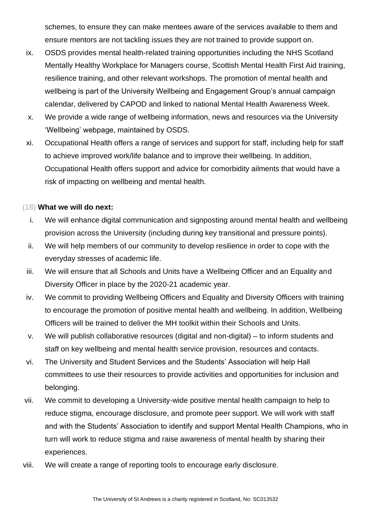schemes, to ensure they can make mentees aware of the services available to them and ensure mentors are not tackling issues they are not trained to provide support on.

- ix. OSDS provides mental health-related training opportunities including the NHS Scotland Mentally Healthy Workplace for Managers course, Scottish Mental Health First Aid training, resilience training, and other relevant workshops. The promotion of mental health and wellbeing is part of the University Wellbeing and Engagement Group's annual campaign calendar, delivered by CAPOD and linked to national Mental Health Awareness Week.
- x. We provide a wide range of wellbeing information, news and resources via the University 'Wellbeing' webpage, maintained by OSDS.
- xi. Occupational Health offers a range of services and support for staff, including help for staff to achieve improved work/life balance and to improve their wellbeing. In addition, Occupational Health offers support and advice for comorbidity ailments that would have a risk of impacting on wellbeing and mental health.

#### (18) **What we will do next:**

- i. We will enhance digital communication and signposting around mental health and wellbeing provision across the University (including during key transitional and pressure points).
- ii. We will help members of our community to develop resilience in order to cope with the everyday stresses of academic life.
- iii. We will ensure that all Schools and Units have a Wellbeing Officer and an Equality and Diversity Officer in place by the 2020-21 academic year.
- iv. We commit to providing Wellbeing Officers and Equality and Diversity Officers with training to encourage the promotion of positive mental health and wellbeing. In addition, Wellbeing Officers will be trained to deliver the MH toolkit within their Schools and Units.
- v. We will publish collaborative resources (digital and non-digital) to inform students and staff on key wellbeing and mental health service provision, resources and contacts.
- vi. The University and Student Services and the Students' Association will help Hall committees to use their resources to provide activities and opportunities for inclusion and belonging.
- vii. We commit to developing a University-wide positive mental health campaign to help to reduce stigma, encourage disclosure, and promote peer support. We will work with staff and with the Students' Association to identify and support Mental Health Champions, who in turn will work to reduce stigma and raise awareness of mental health by sharing their experiences.
- viii. We will create a range of reporting tools to encourage early disclosure.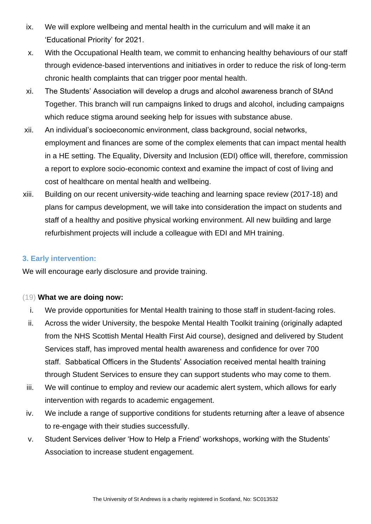- ix. We will explore wellbeing and mental health in the curriculum and will make it an 'Educational Priority' for 2021.
- x. With the Occupational Health team, we commit to enhancing healthy behaviours of our staff through evidence-based interventions and initiatives in order to reduce the risk of long-term chronic health complaints that can trigger poor mental health*.*
- xi. The Students' Association will develop a drugs and alcohol awareness branch of StAnd Together. This branch will run campaigns linked to drugs and alcohol, including campaigns which reduce stigma around seeking help for issues with substance abuse.
- xii. An individual's socioeconomic environment, class background, social networks, employment and finances are some of the complex elements that can impact mental health in a HE setting. The Equality, Diversity and Inclusion (EDI) office will, therefore, commission a report to explore socio-economic context and examine the impact of cost of living and cost of healthcare on mental health and wellbeing.
- xiii. Building on our recent university-wide teaching and learning space review (2017-18) and plans for campus development, we will take into consideration the impact on students and staff of a healthy and positive physical working environment. All new building and large refurbishment projects will include a colleague with EDI and MH training.

# **3. Early intervention:**

We will encourage early disclosure and provide training.

# (19) **What we are doing now:**

- i. We provide opportunities for Mental Health training to those staff in student-facing roles.
- ii. Across the wider University, the bespoke Mental Health Toolkit training (originally adapted from the NHS Scottish Mental Health First Aid course), designed and delivered by Student Services staff, has improved mental health awareness and confidence for over 700 staff. Sabbatical Officers in the Students' Association received mental health training through Student Services to ensure they can support students who may come to them.
- iii. We will continue to employ and review our academic alert system, which allows for early intervention with regards to academic engagement.
- iv. We include a range of supportive conditions for students returning after a leave of absence to re-engage with their studies successfully.
- v. Student Services deliver 'How to Help a Friend' workshops, working with the Students' Association to increase student engagement.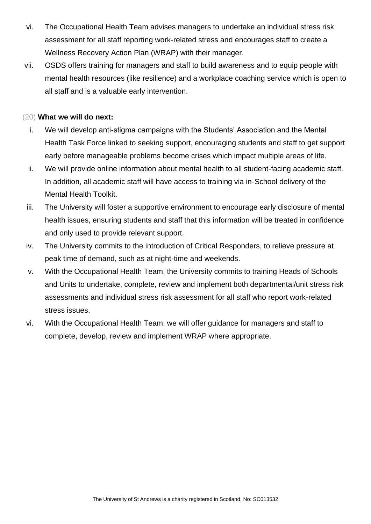- vi. The Occupational Health Team advises managers to undertake an individual stress risk assessment for all staff reporting work-related stress and encourages staff to create a Wellness Recovery Action Plan (WRAP) with their manager.
- vii. OSDS offers training for managers and staff to build awareness and to equip people with mental health resources (like resilience) and a workplace coaching service which is open to all staff and is a valuable early intervention.

#### (20) **What we will do next:**

- i. We will develop anti-stigma campaigns with the Students' Association and the Mental Health Task Force linked to seeking support, encouraging students and staff to get support early before manageable problems become crises which impact multiple areas of life.
- ii. We will provide online information about mental health to all student-facing academic staff. In addition, all academic staff will have access to training via in-School delivery of the Mental Health Toolkit.
- iii. The University will foster a supportive environment to encourage early disclosure of mental health issues, ensuring students and staff that this information will be treated in confidence and only used to provide relevant support.
- iv. The University commits to the introduction of Critical Responders, to relieve pressure at peak time of demand, such as at night-time and weekends.
- v. With the Occupational Health Team, the University commits to training Heads of Schools and Units to undertake, complete, review and implement both departmental/unit stress risk assessments and individual stress risk assessment for all staff who report work-related stress issues.
- vi. With the Occupational Health Team, we will offer guidance for managers and staff to complete, develop, review and implement WRAP where appropriate.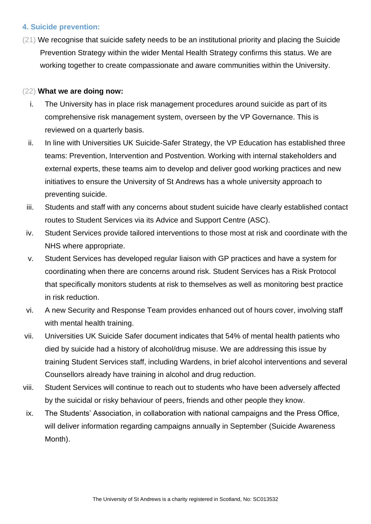#### **4. Suicide prevention:**

(21) We recognise that suicide safety needs to be an institutional priority and placing the Suicide Prevention Strategy within the wider Mental Health Strategy confirms this status. We are working together to create compassionate and aware communities within the University.

#### (22) **What we are doing now:**

- i. The University has in place risk management procedures around suicide as part of its comprehensive risk management system, overseen by the VP Governance. This is reviewed on a quarterly basis.
- ii. In line with Universities UK Suicide-Safer Strategy, the VP Education has established three teams: Prevention, Intervention and Postvention. Working with internal stakeholders and external experts, these teams aim to develop and deliver good working practices and new initiatives to ensure the University of St Andrews has a whole university approach to preventing suicide.
- iii. Students and staff with any concerns about student suicide have clearly established contact routes to Student Services via its Advice and Support Centre (ASC).
- iv. Student Services provide tailored interventions to those most at risk and coordinate with the NHS where appropriate.
- v. Student Services has developed regular liaison with GP practices and have a system for coordinating when there are concerns around risk. Student Services has a Risk Protocol that specifically monitors students at risk to themselves as well as monitoring best practice in risk reduction.
- vi. A new Security and Response Team provides enhanced out of hours cover, involving staff with mental health training.
- vii. Universities UK Suicide Safer document indicates that 54% of mental health patients who died by suicide had a history of alcohol/drug misuse. We are addressing this issue by training Student Services staff, including Wardens, in brief alcohol interventions and several Counsellors already have training in alcohol and drug reduction.
- viii. Student Services will continue to reach out to students who have been adversely affected by the suicidal or risky behaviour of peers, friends and other people they know.
- ix. The Students' Association, in collaboration with national campaigns and the Press Office, will deliver information regarding campaigns annually in September (Suicide Awareness Month).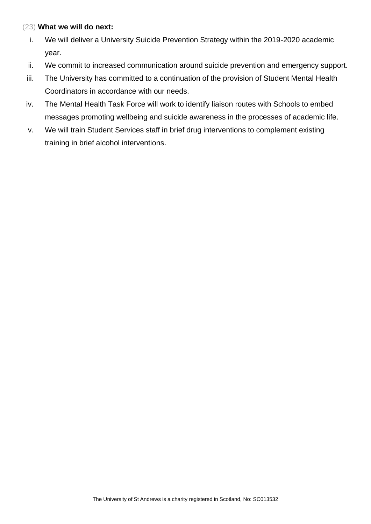#### (23) **What we will do next:**

- i. We will deliver a University Suicide Prevention Strategy within the 2019-2020 academic year.
- ii. We commit to increased communication around suicide prevention and emergency support.
- iii. The University has committed to a continuation of the provision of Student Mental Health Coordinators in accordance with our needs.
- iv. The Mental Health Task Force will work to identify liaison routes with Schools to embed messages promoting wellbeing and suicide awareness in the processes of academic life.
- v. We will train Student Services staff in brief drug interventions to complement existing training in brief alcohol interventions.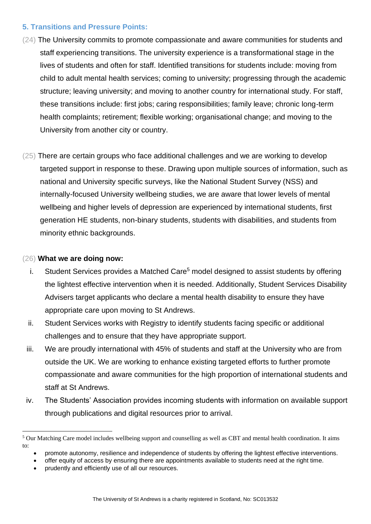#### **5. Transitions and Pressure Points:**

- (24) The University commits to promote compassionate and aware communities for students and staff experiencing transitions. The university experience is a transformational stage in the lives of students and often for staff. Identified transitions for students include: moving from child to adult mental health services; coming to university; progressing through the academic structure; leaving university; and moving to another country for international study. For staff, these transitions include: first jobs; caring responsibilities; family leave; chronic long-term health complaints; retirement; flexible working; organisational change; and moving to the University from another city or country.
- (25) There are certain groups who face additional challenges and we are working to develop targeted support in response to these. Drawing upon multiple sources of information, such as national and University specific surveys, like the National Student Survey (NSS) and internally-focused University wellbeing studies, we are aware that lower levels of mental wellbeing and higher levels of depression are experienced by international students, first generation HE students, non-binary students, students with disabilities, and students from minority ethnic backgrounds.

#### (26) **What we are doing now:**

- i. Student Services provides a Matched Care<sup>5</sup> model designed to assist students by offering the lightest effective intervention when it is needed. Additionally, Student Services Disability Advisers target applicants who declare a mental health disability to ensure they have appropriate care upon moving to St Andrews.
- ii. Student Services works with Registry to identify students facing specific or additional challenges and to ensure that they have appropriate support.
- iii. We are proudly international with 45% of students and staff at the University who are from outside the UK. We are working to enhance existing targeted efforts to further promote compassionate and aware communities for the high proportion of international students and staff at St Andrews.
- iv. The Students' Association provides incoming students with information on available support through publications and digital resources prior to arrival.

<sup>&</sup>lt;sup>5</sup> Our Matching Care model includes wellbeing support and counselling as well as CBT and mental health coordination. It aims to:

<sup>•</sup> promote autonomy, resilience and independence of students by offering the lightest effective interventions.

<sup>•</sup> offer equity of access by ensuring there are appointments available to students need at the right time.

<sup>•</sup> prudently and efficiently use of all our resources.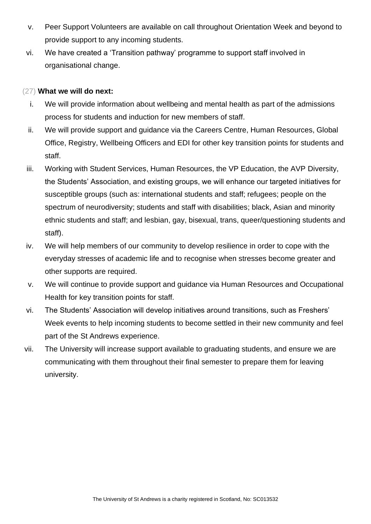- v. Peer Support Volunteers are available on call throughout Orientation Week and beyond to provide support to any incoming students.
- vi. We have created a 'Transition pathway' programme to support staff involved in organisational change.

#### (27) **What we will do next:**

- i. We will provide information about wellbeing and mental health as part of the admissions process for students and induction for new members of staff.
- ii. We will provide support and guidance via the Careers Centre, Human Resources, Global Office, Registry, Wellbeing Officers and EDI for other key transition points for students and staff.
- iii. Working with Student Services, Human Resources, the VP Education, the AVP Diversity, the Students' Association, and existing groups, we will enhance our targeted initiatives for susceptible groups (such as: international students and staff; refugees; people on the spectrum of neurodiversity; students and staff with disabilities; black, Asian and minority ethnic students and staff; and lesbian, gay, bisexual, trans, queer/questioning students and staff).
- iv. We will help members of our community to develop resilience in order to cope with the everyday stresses of academic life and to recognise when stresses become greater and other supports are required.
- v. We will continue to provide support and guidance via Human Resources and Occupational Health for key transition points for staff.
- vi. The Students' Association will develop initiatives around transitions, such as Freshers' Week events to help incoming students to become settled in their new community and feel part of the St Andrews experience.
- vii. The University will increase support available to graduating students, and ensure we are communicating with them throughout their final semester to prepare them for leaving university.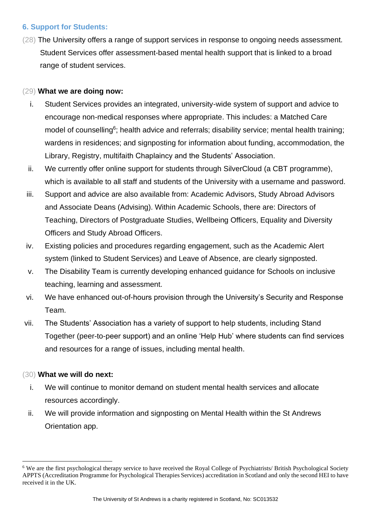#### **6. Support for Students:**

(28) The University offers a range of support services in response to ongoing needs assessment. Student Services offer assessment-based mental health support that is linked to a broad range of student services.

#### (29) **What we are doing now:**

- i. Student Services provides an integrated, university-wide system of support and advice to encourage non-medical responses where appropriate. This includes: a Matched Care model of counselling<sup>6</sup>; health advice and referrals; disability service; mental health training; wardens in residences; and signposting for information about funding, accommodation, the Library, Registry, multifaith Chaplaincy and the Students' Association.
- ii. We currently offer online support for students through SilverCloud (a CBT programme), which is available to all staff and students of the University with a username and password.
- iii. Support and advice are also available from: Academic Advisors, Study Abroad Advisors and Associate Deans (Advising). Within Academic Schools, there are: Directors of Teaching, Directors of Postgraduate Studies, Wellbeing Officers, Equality and Diversity Officers and Study Abroad Officers.
- iv. Existing policies and procedures regarding engagement, such as the Academic Alert system (linked to Student Services) and Leave of Absence, are clearly signposted.
- v. The Disability Team is currently developing enhanced guidance for Schools on inclusive teaching, learning and assessment.
- vi. We have enhanced out-of-hours provision through the University's Security and Response Team.
- vii. The Students' Association has a variety of support to help students, including Stand Together (peer-to-peer support) and an online 'Help Hub' where students can find services and resources for a range of issues, including mental health.

# (30) **What we will do next:**

- i. We will continue to monitor demand on student mental health services and allocate resources accordingly.
- ii. We will provide information and signposting on Mental Health within the St Andrews Orientation app.

<sup>&</sup>lt;sup>6</sup> We are the first psychological therapy service to have received the Royal College of Psychiatrists/ British Psychological Society APPTS (Accreditation Programme for Psychological Therapies Services) accreditation in Scotland and only the second HEI to have received it in the UK.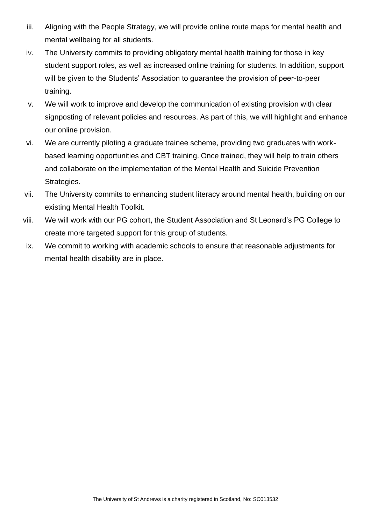- iii. Aligning with the People Strategy, we will provide online route maps for mental health and mental wellbeing for all students.
- iv. The University commits to providing obligatory mental health training for those in key student support roles, as well as increased online training for students. In addition, support will be given to the Students' Association to guarantee the provision of peer-to-peer training.
- v. We will work to improve and develop the communication of existing provision with clear signposting of relevant policies and resources. As part of this, we will highlight and enhance our online provision.
- vi. We are currently piloting a graduate trainee scheme, providing two graduates with workbased learning opportunities and CBT training. Once trained, they will help to train others and collaborate on the implementation of the Mental Health and Suicide Prevention Strategies.
- vii. The University commits to enhancing student literacy around mental health, building on our existing Mental Health Toolkit.
- viii. We will work with our PG cohort, the Student Association and St Leonard's PG College to create more targeted support for this group of students.
- ix. We commit to working with academic schools to ensure that reasonable adjustments for mental health disability are in place.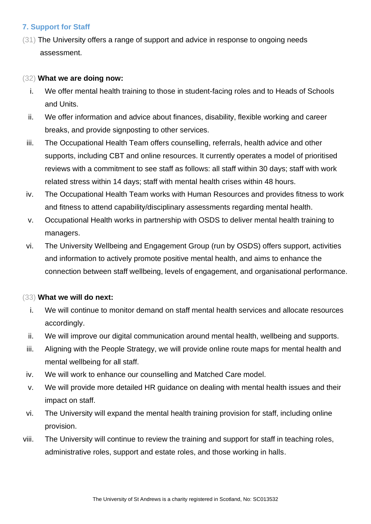# **7. Support for Staff**

(31) The University offers a range of support and advice in response to ongoing needs assessment.

#### (32) **What we are doing now:**

- i. We offer mental health training to those in student-facing roles and to Heads of Schools and Units.
- ii. We offer information and advice about finances, disability, flexible working and career breaks, and provide signposting to other services.
- iii. The Occupational Health Team offers counselling, referrals, health advice and other supports, including CBT and online resources. It currently operates a model of prioritised reviews with a commitment to see staff as follows: all staff within 30 days; staff with work related stress within 14 days; staff with mental health crises within 48 hours.
- iv. The Occupational Health Team works with Human Resources and provides fitness to work and fitness to attend capability/disciplinary assessments regarding mental health.
- v. Occupational Health works in partnership with OSDS to deliver mental health training to managers.
- vi. The University Wellbeing and Engagement Group (run by OSDS) offers support, activities and information to actively promote positive mental health, and aims to enhance the connection between staff wellbeing, levels of engagement, and organisational performance.

# (33) **What we will do next:**

- i. We will continue to monitor demand on staff mental health services and allocate resources accordingly.
- ii. We will improve our digital communication around mental health, wellbeing and supports.
- iii. Aligning with the People Strategy, we will provide online route maps for mental health and mental wellbeing for all staff.
- iv. We will work to enhance our counselling and Matched Care model.
- v. We will provide more detailed HR guidance on dealing with mental health issues and their impact on staff.
- vi. The University will expand the mental health training provision for staff, including online provision.
- viii. The University will continue to review the training and support for staff in teaching roles, administrative roles, support and estate roles, and those working in halls.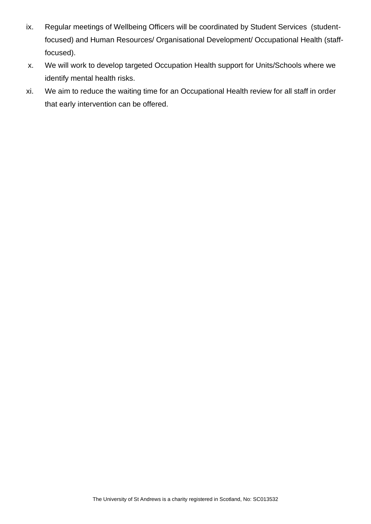- ix. Regular meetings of Wellbeing Officers will be coordinated by Student Services (studentfocused) and Human Resources/ Organisational Development/ Occupational Health (stafffocused).
- x. We will work to develop targeted Occupation Health support for Units/Schools where we identify mental health risks.
- xi. We aim to reduce the waiting time for an Occupational Health review for all staff in order that early intervention can be offered.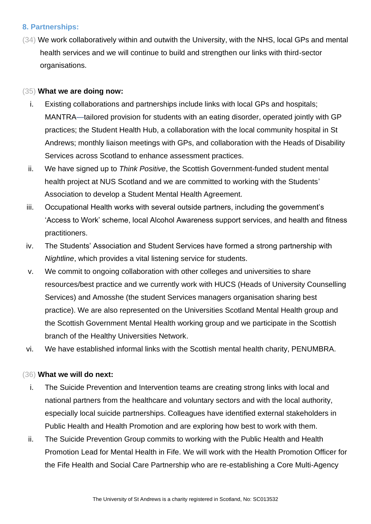#### **8. Partnerships:**

(34) We work collaboratively within and outwith the University, with the NHS, local GPs and mental health services and we will continue to build and strengthen our links with third-sector organisations.

#### (35) **What we are doing now:**

- i. Existing collaborations and partnerships include links with local GPs and hospitals; MANTRA—tailored provision for students with an eating disorder, operated jointly with GP practices; the Student Health Hub, a collaboration with the local community hospital in St Andrews; monthly liaison meetings with GPs, and collaboration with the Heads of Disability Services across Scotland to enhance assessment practices.
- ii. We have signed up to *Think Positive*, the Scottish Government-funded student mental health project at NUS Scotland and we are committed to working with the Students' Association to develop a Student Mental Health Agreement.
- iii. Occupational Health works with several outside partners, including the government's 'Access to Work' scheme, local Alcohol Awareness support services, and health and fitness practitioners.
- iv. The Students' Association and Student Services have formed a strong partnership with *Nightline*, which provides a vital listening service for students.
- v. We commit to ongoing collaboration with other colleges and universities to share resources/best practice and we currently work with HUCS (Heads of University Counselling Services) and Amosshe (the student Services managers organisation sharing best practice). We are also represented on the Universities Scotland Mental Health group and the Scottish Government Mental Health working group and we participate in the Scottish branch of the Healthy Universities Network.
- vi. We have established informal links with the Scottish mental health charity, PENUMBRA.

#### (36) **What we will do next:**

- i. The Suicide Prevention and Intervention teams are creating strong links with local and national partners from the healthcare and voluntary sectors and with the local authority, especially local suicide partnerships. Colleagues have identified external stakeholders in Public Health and Health Promotion and are exploring how best to work with them.
- ii. The Suicide Prevention Group commits to working with the Public Health and Health Promotion Lead for Mental Health in Fife. We will work with the Health Promotion Officer for the Fife Health and Social Care Partnership who are re-establishing a Core Multi-Agency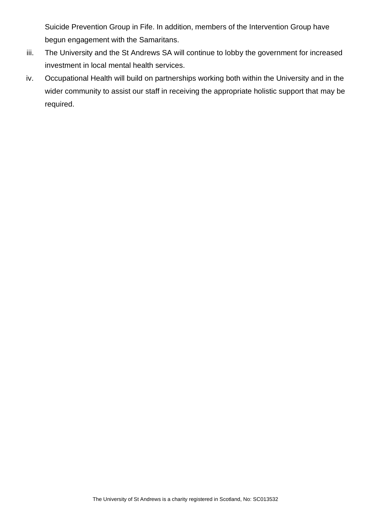Suicide Prevention Group in Fife. In addition, members of the Intervention Group have begun engagement with the Samaritans.

- iii. The University and the St Andrews SA will continue to lobby the government for increased investment in local mental health services.
- iv. Occupational Health will build on partnerships working both within the University and in the wider community to assist our staff in receiving the appropriate holistic support that may be required.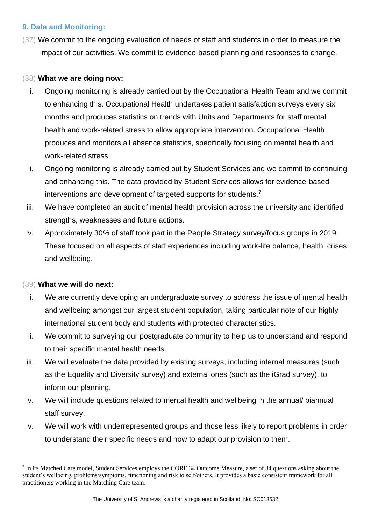# **9. Data and Monitoring:**

(37) We commit to the ongoing evaluation of needs of staff and students in order to measure the impact of our activities. We commit to evidence-based planning and responses to change.

#### (38) **What we are doing now:**

- i. Ongoing monitoring is already carried out by the Occupational Health Team and we commit to enhancing this. Occupational Health undertakes patient satisfaction surveys every six months and produces statistics on trends with Units and Departments for staff mental health and work-related stress to allow appropriate intervention. Occupational Health produces and monitors all absence statistics, specifically focusing on mental health and work-related stress.
- ii. Ongoing monitoring is already carried out by Student Services and we commit to continuing and enhancing this. The data provided by Student Services allows for evidence-based interventions and development of targeted supports for students.<sup>7</sup>
- iii. We have completed an audit of mental health provision across the university and identified strengths, weaknesses and future actions.
- iv. Approximately 30% of staff took part in the People Strategy survey/focus groups in 2019. These focused on all aspects of staff experiences including work-life balance, health, crises and wellbeing.

# (39) **What we will do next:**

- i. We are currently developing an undergraduate survey to address the issue of mental health and wellbeing amongst our largest student population, taking particular note of our highly international student body and students with protected characteristics.
- ii. We commit to surveying our postgraduate community to help us to understand and respond to their specific mental health needs.
- iii. We will evaluate the data provided by existing surveys, including internal measures (such as the Equality and Diversity survey) and external ones (such as the iGrad survey), to inform our planning.
- iv. We will include questions related to mental health and wellbeing in the annual/ biannual staff survey.
- v. We will work with underrepresented groups and those less likely to report problems in order to understand their specific needs and how to adapt our provision to them.

<sup>&</sup>lt;sup>7</sup> In its Matched Care model, Student Services employs the CORE 34 Outcome Measure, a set of 34 questions asking about the student's wellbeing, problems/symptoms, functioning and risk to self/others. It provides a basic consistent framework for all practitioners working in the Matching Care team.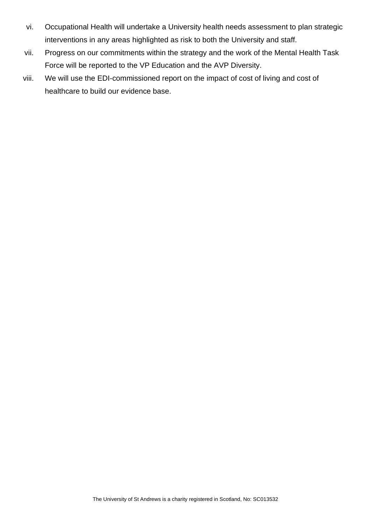- vi. Occupational Health will undertake a University health needs assessment to plan strategic interventions in any areas highlighted as risk to both the University and staff.
- vii. Progress on our commitments within the strategy and the work of the Mental Health Task Force will be reported to the VP Education and the AVP Diversity.
- viii. We will use the EDI-commissioned report on the impact of cost of living and cost of healthcare to build our evidence base.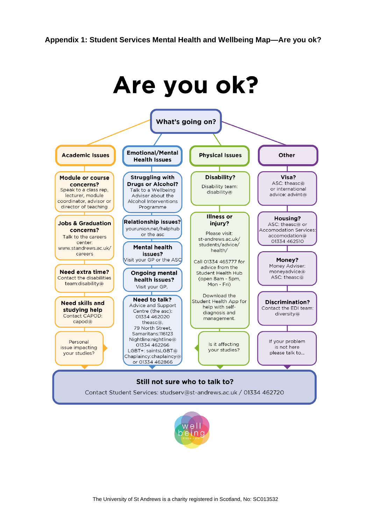

Talk to a Wellbeing

Adviser about the

Alcohol Interventions

Programme

Disability team:

disability@

or international

 $advice:advint@$ 

Housing?

ASC: theasc@ or

accomodation@

01334 462510

Money?

Money Adviser:

monevadvice@

ASC: theasc@

diversity@

If your problem

is not here

please talk to...

concerns? Speak to a class rep, lecturer, module coordinator, advisor or director of teaching

**Jobs & Graduation** concerns? Talk to the careers center: www.standrews.ac.uk/ careers

**Need extra time?** Contact the disabilities team:disability@

**Need skills and** studying help Contact CAPOD: capod@

Personal issue impacting vour studies?



Still not sure who to talk to?

Contact Student Services: studserv@st-andrews.ac.uk / 01334 462720

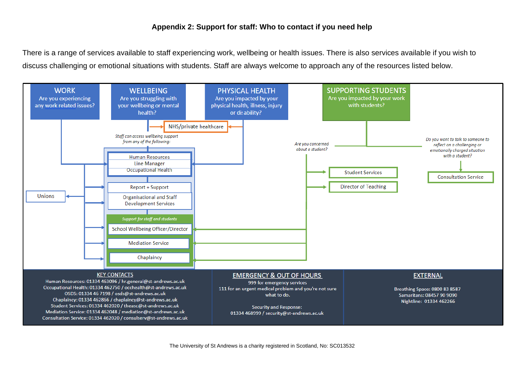#### **Appendix 2: Support for staff: Who to contact if you need help**

There is a range of services available to staff experiencing work, wellbeing or health issues. There is also services available if you wish to discuss challenging or emotional situations with students. Staff are always welcome to approach any of the resources listed below.

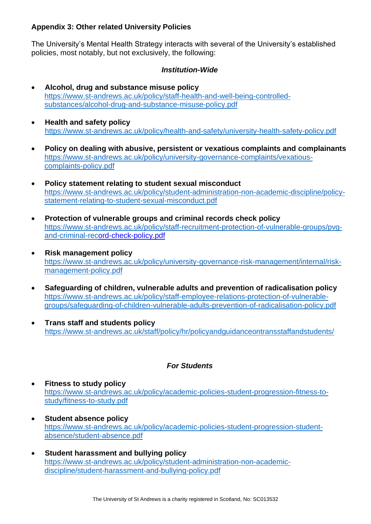# **Appendix 3: Other related University Policies**

The University's Mental Health Strategy interacts with several of the University's established policies, most notably, but not exclusively, the following:

#### *Institution-Wide*

- **[Alcohol, drug and substance misuse policy](https://www.st-andrews.ac.uk/s/redirect?collection=uosa-meta-policy&url=https%3A%2F%2Fwww.st-andrews.ac.uk%2Fpolicy%2Fstaff-health-and-well-being-controlled-substances%2Finternal%2Falcohol-drug-and-substance-misuse-policy.pdf&auth=0XBG9AXSYIdlCz8C438MiA&profile=_default&rank=63&query=%21nullquery+%7Ckeyterm1%3A%22%24%2B%2B+Staff+%24%2B%2B%22)** [https://www.st-andrews.ac.uk/policy/staff-health-and-well-being-controlled](https://www.st-andrews.ac.uk/policy/staff-health-and-well-being-controlled-substances/alcohol-drug-and-substance-misuse-policy.pdf)[substances/alcohol-drug-and-substance-misuse-policy.pdf](https://www.st-andrews.ac.uk/policy/staff-health-and-well-being-controlled-substances/alcohol-drug-and-substance-misuse-policy.pdf)
- **Health and safety policy**  <https://www.st-andrews.ac.uk/policy/health-and-safety/university-health-safety-policy.pdf>
- **[Policy on dealing with abusive, persistent or vexatious complaints and complainants](https://www.st-andrews.ac.uk/s/redirect?collection=uosa-meta-policy&url=https%3A%2F%2Fwww.st-andrews.ac.uk%2Fpolicy%2Funiversity-governance-complaints%2Fvexatious-complaints-policy.pdf&auth=UclFJYI1PE6oMVVJ%2BAk5qw&profile=_default&rank=1&query=%21nullquery+%7Ckeyterm1%3A%22%24%2B%2B+University+governance+%24%2B%2B%22)** [https://www.st-andrews.ac.uk/policy/university-governance-complaints/vexatious](https://www.st-andrews.ac.uk/policy/university-governance-complaints/vexatious-complaints-policy.pdf)[complaints-policy.pdf](https://www.st-andrews.ac.uk/policy/university-governance-complaints/vexatious-complaints-policy.pdf)
- **[Policy statement relating to student sexual misconduct](https://www.st-andrews.ac.uk/s/redirect?collection=uosa-meta-policy&url=https%3A%2F%2Fwww.st-andrews.ac.uk%2Fpolicy%2Fstudent-administration-non-academic-discipline%2Fpolicy-statement-relating-to-student-sexual-misconduct.pdf&auth=ddVIkl5Fc9HFlI9deArjUA&profile=_default&rank=12&query=%21nullquery+%7Ckeyterm1%3A%22%24%2B%2B+Student+administration+%24%2B%2B%22)** [https://www.st-andrews.ac.uk/policy/student-administration-non-academic-discipline/policy](https://www.st-andrews.ac.uk/policy/student-administration-non-academic-discipline/policy-statement-relating-to-student-sexual-misconduct.pdf)[statement-relating-to-student-sexual-misconduct.pdf](https://www.st-andrews.ac.uk/policy/student-administration-non-academic-discipline/policy-statement-relating-to-student-sexual-misconduct.pdf)
- **[Protection of vulnerable groups and criminal records check policy](https://www.st-andrews.ac.uk/s/redirect?collection=uosa-meta-policy&url=https%3A%2F%2Fwww.st-andrews.ac.uk%2Fpolicy%2Fstaff-recruitment-protection-of-vulnerable-groups%2Finternal%2Fpvg-and-criminal-record-check-policy.pdf&auth=HEEWisPiBD%2FXeXoY%2FVsU0g&profile=_default&rank=54&query=%21nullquery+%7Ckeyterm1%3A%22%24%2B%2B+Staff+%24%2B%2B%22)** [https://www.st-andrews.ac.uk/policy/staff-recruitment-protection-of-vulnerable-groups/pvg](https://www.st-andrews.ac.uk/policy/staff-recruitment-protection-of-vulnerable-groups/pvg-and-criminal-record-check-policy.pdf)[and-criminal-record-check-policy.pdf](https://www.st-andrews.ac.uk/policy/staff-recruitment-protection-of-vulnerable-groups/pvg-and-criminal-record-check-policy.pdf)
- **[Risk management policy](https://www.st-andrews.ac.uk/s/redirect?collection=uosa-meta-policy&url=https%3A%2F%2Fwww.st-andrews.ac.uk%2Fpolicy%2Funiversity-governance-risk-management%2Finternal%2Frisk-management-policy.pdf&auth=75XfgOETERytl3vPZVNqMw&profile=_default&rank=2&query=%21nullquery+%7Ckeyterm1%3A%22%24%2B%2B+University+governance+%24%2B%2B%22)** [https://www.st-andrews.ac.uk/policy/university-governance-risk-management/internal/risk](https://www.st-andrews.ac.uk/policy/university-governance-risk-management/internal/risk-management-policy.pdf)[management-policy.pdf](https://www.st-andrews.ac.uk/policy/university-governance-risk-management/internal/risk-management-policy.pdf)
- **[Safeguarding of children, vulnerable adults and prevention of radicalisation policy](https://www.st-andrews.ac.uk/s/redirect?collection=uosa-meta-policy&url=https%3A%2F%2Fwww.st-andrews.ac.uk%2Fpolicy%2Fstaff-employee-relations-protection-of-vulnerable-groups%2Fsafeguarding-of-children-vulnerable-adults-prevention-of-radicalisation-policy.pdf&auth=v8In7yV2K%2BHnNHfqtMSUTA&profile=_default&rank=9&query=Data+Protection)** [https://www.st-andrews.ac.uk/policy/staff-employee-relations-protection-of-vulnerable](https://www.st-andrews.ac.uk/policy/staff-employee-relations-protection-of-vulnerable-groups/safeguarding-of-children-vulnerable-adults-prevention-of-radicalisation-policy.pdf)[groups/safeguarding-of-children-vulnerable-adults-prevention-of-radicalisation-policy.pdf](https://www.st-andrews.ac.uk/policy/staff-employee-relations-protection-of-vulnerable-groups/safeguarding-of-children-vulnerable-adults-prevention-of-radicalisation-policy.pdf)
- **Trans staff and students policy** <https://www.st-andrews.ac.uk/staff/policy/hr/policyandguidanceontransstaffandstudents/>

#### *For Students*

- **Fitness to study policy**  [https://www.st-andrews.ac.uk/policy/academic-policies-student-progression-fitness-to](https://www.st-andrews.ac.uk/policy/academic-policies-student-progression-fitness-to-study/fitness-to-study.pdf)[study/fitness-to-study.pdf](https://www.st-andrews.ac.uk/policy/academic-policies-student-progression-fitness-to-study/fitness-to-study.pdf)
- **[Student absence](https://www.st-andrews.ac.uk/s/redirect?collection=uosa-meta-policy&url=https%3A%2F%2Fwww.st-andrews.ac.uk%2Fpolicy%2Facademic-policies-student-progression-student-absence%2Fstudent-absence.pdf&auth=od5HQf39ej6EJAtMrzWFqQ&profile=_default&rank=26&query=%21nullquery+%7Ckeyterm1%3A%22%24%2B%2B+Academic+policies+%24%2B%2B%22) policy** [https://www.st-andrews.ac.uk/policy/academic-policies-student-progression-student](https://www.st-andrews.ac.uk/policy/academic-policies-student-progression-student-absence/student-absence.pdf)[absence/student-absence.pdf](https://www.st-andrews.ac.uk/policy/academic-policies-student-progression-student-absence/student-absence.pdf)
- **[Student harassment and bullying policy](https://www.st-andrews.ac.uk/s/redirect?collection=uosa-meta-policy&url=https%3A%2F%2Fwww.st-andrews.ac.uk%2Fpolicy%2Fstudent-administration-non-academic-discipline%2Fstudent-harassment-and-bullying-policy.pdf&auth=553l2xQGqVxxyUD1Vfhy4g&profile=_default&rank=1&query=harassment)** [https://www.st-andrews.ac.uk/policy/student-administration-non-academic](https://www.st-andrews.ac.uk/policy/student-administration-non-academic-discipline/student-harassment-and-bullying-policy.pdf)[discipline/student-harassment-and-bullying-policy.pdf](https://www.st-andrews.ac.uk/policy/student-administration-non-academic-discipline/student-harassment-and-bullying-policy.pdf)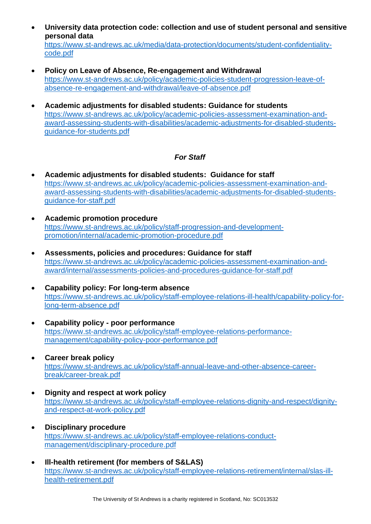• **University data protection code: collection and use of student personal and sensitive personal data**

[https://www.st-andrews.ac.uk/media/data-protection/documents/student-confidentiality](https://www.st-andrews.ac.uk/media/data-protection/documents/student-confidentiality-code.pdf)[code.pdf](https://www.st-andrews.ac.uk/media/data-protection/documents/student-confidentiality-code.pdf)

- **[Policy on Leave of Absence, Re-engagement and Withdrawal](https://www.st-andrews.ac.uk/s/redirect?collection=uosa-meta-policy&url=https%3A%2F%2Fwww.st-andrews.ac.uk%2Fpolicy%2Facademic-policies-student-progression-leave-of-absence-re-engagement-and-withdrawal%2Fleave-of-absence.pdf&auth=ZbVbZFnbLVozbpDQxGC09A&profile=_default&rank=82&query=%21nullquery+%7Ckeyterm1%3A%22%24%2B%2B+Academic+policies+%24%2B%2B%22)** [https://www.st-andrews.ac.uk/policy/academic-policies-student-progression-leave-of](https://www.st-andrews.ac.uk/policy/academic-policies-student-progression-leave-of-absence-re-engagement-and-withdrawal/leave-of-absence.pdf)[absence-re-engagement-and-withdrawal/leave-of-absence.pdf](https://www.st-andrews.ac.uk/policy/academic-policies-student-progression-leave-of-absence-re-engagement-and-withdrawal/leave-of-absence.pdf)
- **[Academic adjustments for disabled students: Guidance for students](https://www.st-andrews.ac.uk/s/redirect?collection=uosa-meta-policy&url=https%3A%2F%2Fwww.st-andrews.ac.uk%2Fpolicy%2Facademic-policies-assessment-examination-and-award-assessing-students-with-disabilities%2Facademic-adjustments-for-disabled-students-guidance-for-students.pdf&auth=z70ImThSc8hoKTmLTtz1CQ&profile=_default&rank=81&query=%21nullquery+%7Ckeyterm1%3A%22%24%2B%2B+Academic+policies+%24%2B%2B%22)** [https://www.st-andrews.ac.uk/policy/academic-policies-assessment-examination-and](https://www.st-andrews.ac.uk/policy/academic-policies-assessment-examination-and-award-assessing-students-with-disabilities/academic-adjustments-for-disabled-students-guidance-for-students.pdf)[award-assessing-students-with-disabilities/academic-adjustments-for-disabled-students](https://www.st-andrews.ac.uk/policy/academic-policies-assessment-examination-and-award-assessing-students-with-disabilities/academic-adjustments-for-disabled-students-guidance-for-students.pdf)[guidance-for-students.pdf](https://www.st-andrews.ac.uk/policy/academic-policies-assessment-examination-and-award-assessing-students-with-disabilities/academic-adjustments-for-disabled-students-guidance-for-students.pdf)

# *For Staff*

- **[Academic adjustments for disabled students: Guidance for staff](https://www.st-andrews.ac.uk/s/redirect?collection=uosa-meta-policy&url=https%3A%2F%2Fwww.st-andrews.ac.uk%2Fpolicy%2Facademic-policies-assessment-examination-and-award-assessing-students-with-disabilities%2Facademic-adjustments-for-disabled-students-guidance-for-staff.pdf&auth=j%2BgSVZcY9%2BMcZazZ08xj2w&profile=_default&rank=87&query=%21nullquery+%7Ckeyterm1%3A%22%24%2B%2B+Academic+policies+%24%2B%2B%22)** [https://www.st-andrews.ac.uk/policy/academic-policies-assessment-examination-and](https://www.st-andrews.ac.uk/policy/academic-policies-assessment-examination-and-award-assessing-students-with-disabilities/academic-adjustments-for-disabled-students-guidance-for-staff.pdf)[award-assessing-students-with-disabilities/academic-adjustments-for-disabled-students](https://www.st-andrews.ac.uk/policy/academic-policies-assessment-examination-and-award-assessing-students-with-disabilities/academic-adjustments-for-disabled-students-guidance-for-staff.pdf)[guidance-for-staff.pdf](https://www.st-andrews.ac.uk/policy/academic-policies-assessment-examination-and-award-assessing-students-with-disabilities/academic-adjustments-for-disabled-students-guidance-for-staff.pdf)
- **[Academic promotion procedure](https://www.st-andrews.ac.uk/s/redirect?collection=uosa-meta-policy&url=https%3A%2F%2Fwww.st-andrews.ac.uk%2Fpolicy%2Fstaff-progression-and-development-promotion%2Finternal%2Facademic-promotion-procedure.pdf&auth=MBI1O9izFjfjQhO821bAIQ&profile=_default&rank=46&query=%21nullquery+%7Ckeyterm1%3A%22%24%2B%2B+Staff+%24%2B%2B%22)** [https://www.st-andrews.ac.uk/policy/staff-progression-and-development](https://www.st-andrews.ac.uk/policy/staff-progression-and-development-promotion/internal/academic-promotion-procedure.pdf)[promotion/internal/academic-promotion-procedure.pdf](https://www.st-andrews.ac.uk/policy/staff-progression-and-development-promotion/internal/academic-promotion-procedure.pdf)
- **[Assessments, policies and procedures: Guidance for staff](https://www.st-andrews.ac.uk/s/redirect?collection=uosa-meta-policy&url=https%3A%2F%2Fwww.st-andrews.ac.uk%2Fpolicy%2Facademic-policies-assessment-examination-and-award%2Finternal%2Fassessments-policies-and-procedures-guidance-for-staff.pdf&auth=zFXWiGlsqtAfxj6OaycZ8Q&profile=_default&rank=60&query=%21nullquery+%7Ckeyterm1%3A%22%24%2B%2B+Academic+policies+%24%2B%2B%22)** [https://www.st-andrews.ac.uk/policy/academic-policies-assessment-examination-and](https://www.st-andrews.ac.uk/policy/academic-policies-assessment-examination-and-award/internal/assessments-policies-and-procedures-guidance-for-staff.pdf)[award/internal/assessments-policies-and-procedures-guidance-for-staff.pdf](https://www.st-andrews.ac.uk/policy/academic-policies-assessment-examination-and-award/internal/assessments-policies-and-procedures-guidance-for-staff.pdf)
- **Capability policy: For long-term absence** [https://www.st-andrews.ac.uk/policy/staff-employee-relations-ill-health/capability-policy-for](https://www.st-andrews.ac.uk/policy/staff-employee-relations-ill-health/capability-policy-for-long-term-absence.pdf)[long-term-absence.pdf](https://www.st-andrews.ac.uk/policy/staff-employee-relations-ill-health/capability-policy-for-long-term-absence.pdf)
- **Capability policy - [poor performance](https://www.st-andrews.ac.uk/s/redirect?collection=uosa-meta-policy&url=https%3A%2F%2Fwww.st-andrews.ac.uk%2Fpolicy%2Fstaff-employee-relations-performance-management%2Fcapability-policy-poor-performance.pdf&auth=g44VHHKMlJZsEmbv8tXE2A&profile=_default&rank=45&query=%21nullquery+%7Ckeyterm1%3A%22%24%2B%2B+Staff+%24%2B%2B%22)** [https://www.st-andrews.ac.uk/policy/staff-employee-relations-performance](https://www.st-andrews.ac.uk/policy/staff-employee-relations-performance-management/capability-policy-poor-performance.pdf)[management/capability-policy-poor-performance.pdf](https://www.st-andrews.ac.uk/policy/staff-employee-relations-performance-management/capability-policy-poor-performance.pdf)
- **[Career break policy](https://www.st-andrews.ac.uk/s/redirect?collection=uosa-meta-policy&url=https%3A%2F%2Fwww.st-andrews.ac.uk%2Fpolicy%2Fstaff-annual-leave-and-other-absence-career-break%2Fcareer-break.pdf&auth=%2FXjmEHjBXFI%2Fc2tgyFdJ%2FA&profile=_default&rank=26&query=%21nullquery+%7Ckeyterm1%3A%22%24%2B%2B+Staff+%24%2B%2B%22)** [https://www.st-andrews.ac.uk/policy/staff-annual-leave-and-other-absence-career](https://www.st-andrews.ac.uk/policy/staff-annual-leave-and-other-absence-career-break/career-break.pdf)[break/career-break.pdf](https://www.st-andrews.ac.uk/policy/staff-annual-leave-and-other-absence-career-break/career-break.pdf)
- **[Dignity and respect at work policy](https://www.st-andrews.ac.uk/s/redirect?collection=uosa-meta-policy&url=https%3A%2F%2Fwww.st-andrews.ac.uk%2Fpolicy%2Fstaff-employee-relations-dignity-and-respect%2Finternal%2Fdignity-and-respect-at-work-policy.pdf&auth=VqTtcVf11lQOSXIZchPTsQ&profile=_default&rank=67&query=%21nullquery+%7Ckeyterm1%3A%22%24%2B%2B+Staff+%24%2B%2B%22)** [https://www.st-andrews.ac.uk/policy/staff-employee-relations-dignity-and-respect/dignity](https://www.st-andrews.ac.uk/policy/staff-employee-relations-dignity-and-respect/dignity-and-respect-at-work-policy.pdf)[and-respect-at-work-policy.pdf](https://www.st-andrews.ac.uk/policy/staff-employee-relations-dignity-and-respect/dignity-and-respect-at-work-policy.pdf)
- **[Disciplinary procedure](https://www.st-andrews.ac.uk/s/redirect?collection=uosa-meta-policy&url=https%3A%2F%2Fwww.st-andrews.ac.uk%2Fpolicy%2Fstaff-employee-relations-conduct-management%2Finternal%2Fdisciplinary-procedure.pdf&auth=UajD8kd18IWVr3lf4NX0XQ&profile=_default&rank=18&query=%21nullquery+%7Ckeyterm1%3A%22%24%2B%2B+Staff+%24%2B%2B%22)** [https://www.st-andrews.ac.uk/policy/staff-employee-relations-conduct](https://www.st-andrews.ac.uk/policy/staff-employee-relations-conduct-management/disciplinary-procedure.pdf)[management/disciplinary-procedure.pdf](https://www.st-andrews.ac.uk/policy/staff-employee-relations-conduct-management/disciplinary-procedure.pdf)
- **[Ill-health retirement \(for members of S&LAS\)](https://www.st-andrews.ac.uk/s/redirect?collection=uosa-meta-policy&url=https%3A%2F%2Fwww.st-andrews.ac.uk%2Fpolicy%2Fstaff-employee-relations-retirement%2Finternal%2Fslas-ill-health-retirement.pdf&auth=8Zsxp%2BgUsRyg5p4EgySv3g&profile=_default&rank=55&query=%21nullquery+%7Ckeyterm1%3A%22%24%2B%2B+Staff+%24%2B%2B%22)** [https://www.st-andrews.ac.uk/policy/staff-employee-relations-retirement/internal/slas-ill](https://www.st-andrews.ac.uk/policy/staff-employee-relations-retirement/internal/slas-ill-health-retirement.pdf)[health-retirement.pdf](https://www.st-andrews.ac.uk/policy/staff-employee-relations-retirement/internal/slas-ill-health-retirement.pdf)